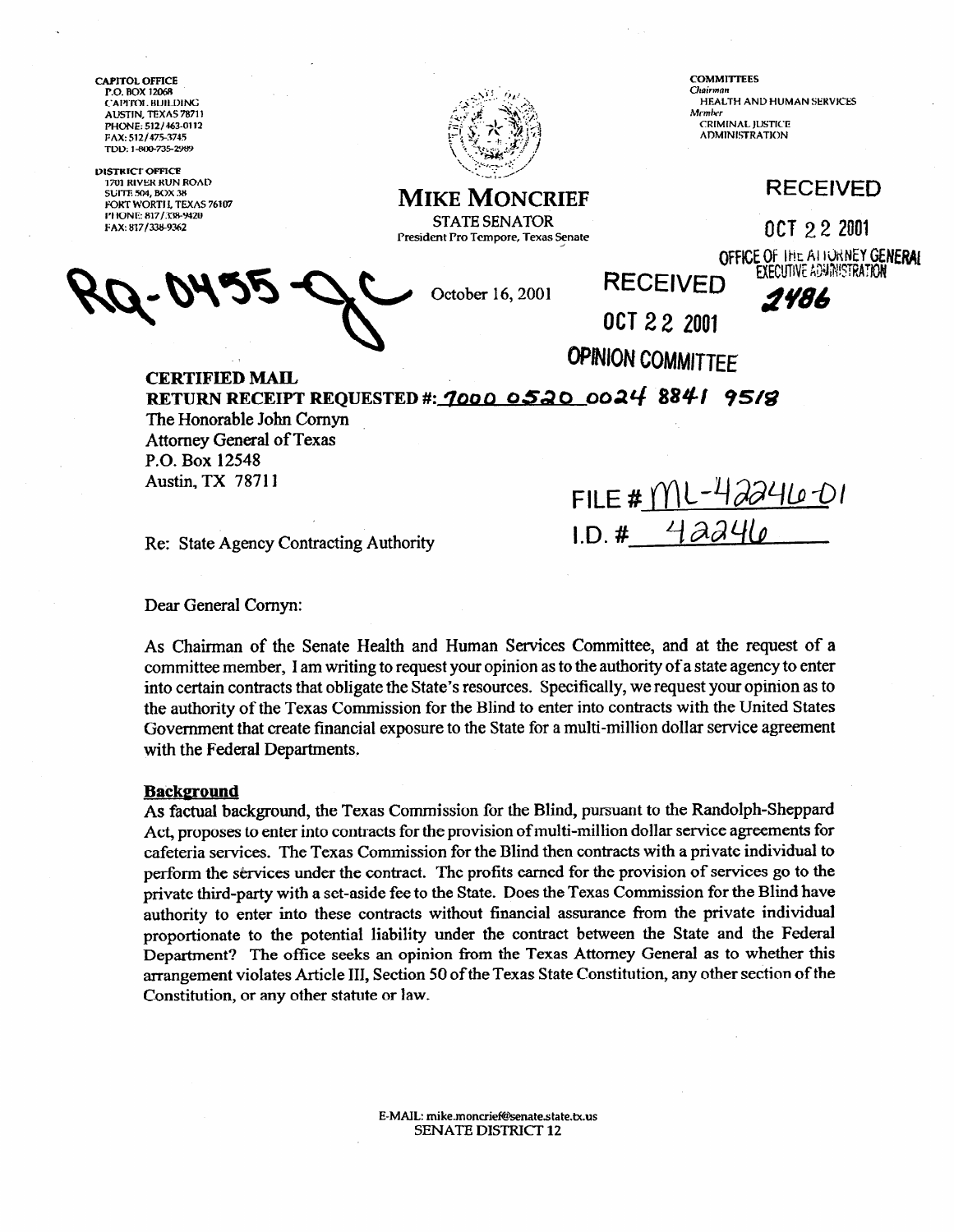**CAPITOL OFFICE** P.O. BOX 12068 CAPITOL BUILDING AUSTIN, TEXAS 78711 PHONE: 512/463-0112 FAX: 512/475-3745 TDD: 1-800-735-2989

**DISTRICT OFFICE** 1701 RIVER RUN ROAD **SUITE 504, BOX 3** FORT WORTH, TEXAS 76107 PHONE: 817/338-9420 FAX: 817/338-9362



**COMMITTEES** Chairma HEALTH AND HUMAN SERVICES Member **CRIMINAL JUSTICE ADMINISTRATION** 

## **RECEIVED**

OCT 22 2001

OFFICE OF THE ALIONNEY GENERAL

**MIKE MONCRIEF STATE SENATOR** President Pro Tempore, Texas Senate

October 16, 2001

**EXECUTIVE ADMINISTRATION** 2486

OCT 22 2001

FILE #  $ML$ -42246-01

 $1.D. #$  42246

**OPINION COMMITTEE** 

**RECEIVED** 

**CERTIFIED MAIL** RETURN RECEIPT REQUESTED #: 7000 0520 0024 8841 9518

The Honorable John Cornyn Attorney General of Texas P.O. Box 12548 **Austin, TX 78711** 

Re: State Agency Contracting Authority

Dear General Cornyn:

As Chairman of the Senate Health and Human Services Committee, and at the request of a committee member, I am writing to request your opinion as to the authority of a state agency to enter into certain contracts that obligate the State's resources. Specifically, we request your opinion as to the authority of the Texas Commission for the Blind to enter into contracts with the United States Government that create financial exposure to the State for a multi-million dollar service agreement with the Federal Departments.

## **Background**

As factual background, the Texas Commission for the Blind, pursuant to the Randolph-Sheppard Act, proposes to enter into contracts for the provision of multi-million dollar service agreements for cafeteria services. The Texas Commission for the Blind then contracts with a private individual to perform the services under the contract. The profits earned for the provision of services go to the private third-party with a set-aside fee to the State. Does the Texas Commission for the Blind have authority to enter into these contracts without financial assurance from the private individual proportionate to the potential liability under the contract between the State and the Federal Department? The office seeks an opinion from the Texas Attorney General as to whether this arrangement violates Article III, Section 50 of the Texas State Constitution, any other section of the Constitution, or any other statute or law.

> E-MAIL: mike.moncrief@senate.state.tx.us **SENATE DISTRICT 12**